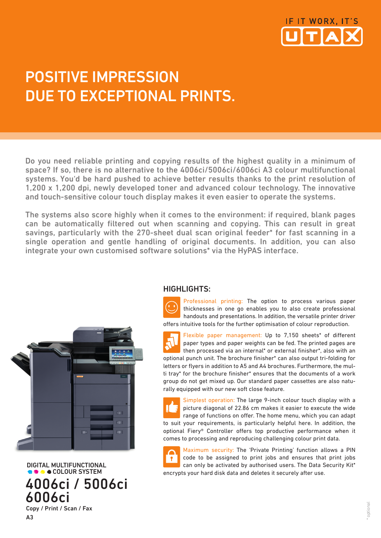

## POSITIVE IMPRESSION DUE TO EXCEPTIONAL PRINTS.

Do you need reliable printing and copying results of the highest quality in a minimum of space? If so, there is no alternative to the 4006ci/5006ci/6006ci A3 colour multifunctional systems. You'd be hard pushed to achieve better results thanks to the print resolution of 1,200 x 1,200 dpi, newly developed toner and advanced colour technology. The innovative and touch-sensitive colour touch display makes it even easier to operate the systems.

The systems also score highly when it comes to the environment: if required, blank pages can be automatically filtered out when scanning and copying. This can result in great savings, particularly with the 270-sheet dual scan original feeder\* for fast scanning in a single operation and gentle handling of original documents. In addition, you can also integrate your own customised software solutions\* via the HyPAS interface.



 DIGITAL MULTIFUNCTIONAL COLOUR SYSTEM 4006ci / 5006ci 6006ci Copy / Print / Scan / Fax

A3

## HIGHLIGHTS:

Professional printing: The option to process various paper thicknesses in one go enables you to also create professional handouts and presentations. In addition, the versatile printer driver offers intuitive tools for the further optimisation of colour reproduction.

Flexible paper management: Up to 7,150 sheets\* of different paper types and paper weights can be fed. The printed pages are then processed via an internal\* or external finisher\*, also with an optional punch unit. The brochure finisher\* can also output tri-folding for letters or flyers in addition to A5 and A4 brochures. Furthermore, the multi tray\* for the brochure finisher\* ensures that the documents of a work group do not get mixed up. Our standard paper cassettes are also naturally equipped with our new soft close feature.

Simplest operation: The large 9-inch colour touch display with a picture diagonal of 22.86 cm makes it easier to execute the wide range of functions on offer. The home menu, which you can adapt to suit your requirements, is particularly helpful here. In addition, the optional Fiery® Controller offers top productive performance when it comes to processing and reproducing challenging colour print data.

Maximum security: The 'Private Printing' function allows a PIN code to be assigned to print jobs and ensures that print jobs can only be activated by authorised users. The Data Security Kit\* encrypts your hard disk data and deletes it securely after use.

optiona